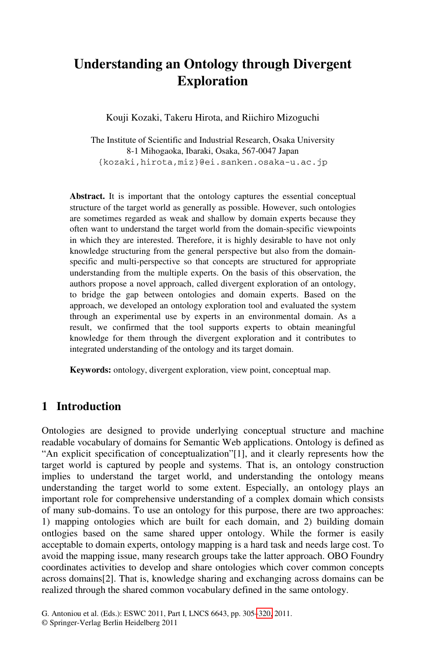# **Understanding an Ontology through Divergent Exploration**

Kouji Kozaki, Takeru Hirota, and Riichiro Mizoguchi

The Institute of Scientific and Industrial Research, Osaka University 8-1 Mihogaoka, Ibaraki, Osaka, 567-0047 Japan {kozaki,hirota,miz}@ei.sanken.osaka-u.ac.jp

Abstract. It is important that the ontology captures the essential conceptual structure of the target world as generally as possible. However, such ontologies are sometimes regarded as weak and shallow by domain experts because they often want to understand the target world from the domain-specific viewpoints in which they are interested. Therefore, it is highly desirable to have not only knowledge structuring from the general perspective but also from the domainspecific and multi-perspective so that concepts are structured for appropriate understanding from the multiple experts. On the basis of this observation, the authors propose a novel approach, called divergent exploration of an ontology, to bridge the gap between ontologies and domain experts. Based on the approach, we developed an ontology exploration tool and evaluated the system through an experimental use by experts in an environmental domain. As a result, we confirmed that the tool supports experts to obtain meaningful knowledge for them through the divergent exploration and it contributes to integrated understanding of the ontology and its target domain.

**Keywords:** ontology, divergent exploration, view point, conceptual map.

## **1 Introduction**

Ontologies are designed to provide underlying conceptual structure and machine readable vocabulary of domains for Semantic Web applications. Ontology is defined as "An explicit specification of conceptualization"[1], and it clearly represents how the target world is captured by people and systems. That is, an ontology construction implies to understand the target world, and understanding the ontology means understanding the target world to some extent. Especially, an ontology plays an important role for comprehensive understanding of a complex domain which consists of many sub-domains. To use an ontology for this purpose, there are two approaches: 1) mapping ontologies which are built for each domain, and 2) building domain ontlogies based on the same shared upper ontology. While the former is easily acceptable to domain experts, ontology mapping is a hard task and needs large cost. To avoid the mapping issue, many research groups take the latter approach. OBO Foundry coordinates activities to develop and share ontologies which cover common concepts across domains[2]. That is, knowledge sharing and exchanging across domains can be realized through the shared common vocabulary defined in the same ontology.

G. Antoniou et al. (Eds.): ESWC 2011, Part I, LNCS 6643, pp. 305[–320,](#page-15-0) 2011. © Springer-Verlag Berlin Heidelberg 2011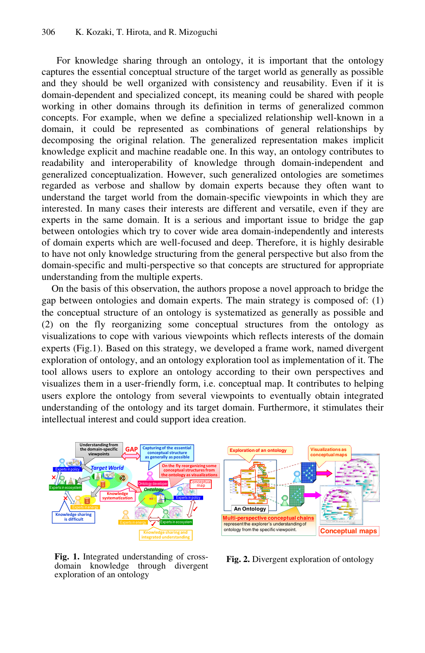For knowledge sharing through an ontology, it is important that the ontology captures the essential conceptual structure of the target world as generally as possible and they should be well organized with consistency and reusability. Even if it is domain-dependent and specialized concept, its meaning could be shared with people working in other domains through its definition in terms of generalized common concepts. For example, when we define a specialized relationship well-known in a domain, it could be represented as combinations of general relationships by decomposing the original relation. The generalized representation makes implicit knowledge explicit and machine readable one. In this way, an ontology contributes to readability and interoperability of knowledge through domain-independent and generalized conceptualization. However, such generalized ontologies are sometimes regarded as verbose and shallow by domain experts because they often want to understand the target world from the domain-specific viewpoints in which they are interested. In many cases their interests are different and versatile, even if they are experts in the same domain. It is a serious and important issue to bridge the gap between ontologies which try to cover wide area domain-independently and interests of domain experts which are well-focused and deep. Therefore, it is highly desirable to have not only knowledge structuring from the general perspective but also from the domain-specific and multi-perspective so that concepts are structured for appropriate understanding from the multiple experts.

On the basis of this observation, the authors propose a novel approach to bridge the gap between ontologies and domain experts. The main strategy is composed of: (1) the conceptual structure of an ontology is systematized as generally as possible and (2) on the fly reorganizing some conceptual structures from the ontology as visualizations to cope with various viewpoints which reflects interests of the domain experts (Fig.1). Based on this strategy, we developed a frame work, named divergent exploration of ontology, and an ontology exploration tool as implementation of it. The tool allows users to explore an ontology according to their own perspectives and visualizes them in a user-friendly form, i.e. conceptual map. It contributes to helping users explore the ontology from several viewpoints to eventually obtain integrated understanding of the ontology and its target domain. Furthermore, it stimulates their intellectual interest and could support idea creation.



**Fig. 1.** Integrated understanding of crossdomain knowledge through divergent exploration of an ontology

**Fig. 2.** Divergent exploration of ontology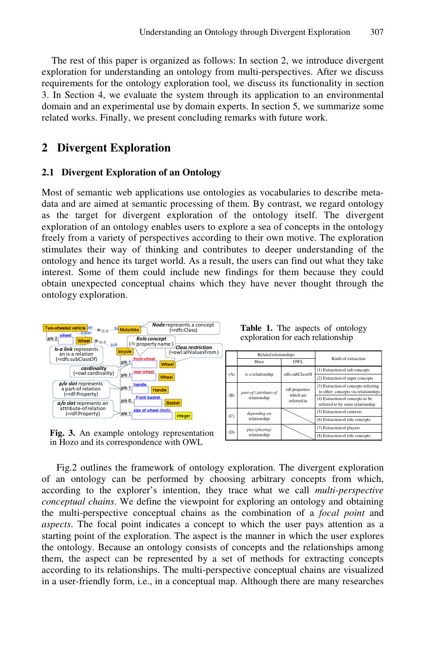The rest of this paper is organized as follows: In section 2, we introduce divergent exploration for understanding an ontology from multi-perspectives. After we discuss requirements for the ontology exploration tool, we discuss its functionality in section 3. In Section 4, we evaluate the system through its application to an environmental domain and an experimental use by domain experts. In section 5, we summarize some related works. Finally, we present concluding remarks with future work.

## **2 Divergent Exploration**

#### **2.1 Divergent Exploration of an Ontology**

Most of semantic web applications use ontologies as vocabularies to describe metadata and are aimed at semantic processing of them. By contrast, we regard ontology as the target for divergent exploration of the ontology itself. The divergent exploration of an ontology enables users to explore a sea of concepts in the ontology freely from a variety of perspectives according to their own motive. The exploration stimulates their way of thinking and contributes to deeper understanding of the ontology and hence its target world. As a result, the users can find out what they take interest. Some of them could include new findings for them because they could obtain unexpected conceptual chains which they have never thought through the ontology exploration.



**Fig. 3.** An example ontology representation in Hozo and its correspondence with OWL

**Table 1.** The aspects of ontology exploration for each relationship

|     | Related relationships                |                                            |                                                                             |
|-----|--------------------------------------|--------------------------------------------|-----------------------------------------------------------------------------|
|     | Hozo                                 | OWL.                                       | Kinds of extraction                                                         |
| (A) | is-a relationship                    | rdfs:subClassOf                            | (1) Extraction of sub concepts                                              |
|     |                                      |                                            | (2) Extraction of super concepts                                            |
| (B) | part-of/attribute-of<br>relationship | rdf:properties<br>which are<br>referred in | (3) Extraction of concepts referring<br>to other concepts via relationships |
|     |                                      |                                            | (4) Extraction of concepts to be<br>referred to by some relationship        |
| (C) | depending-on<br>relationship         |                                            | (5) Extraction of contexts                                                  |
|     |                                      |                                            | (6) Extraction of role concepts                                             |
| (D) | play (playing)<br>relationship       |                                            | (7) Extraction of players                                                   |
|     |                                      |                                            | (8) Extraction of role concepts                                             |

Fig.2 outlines the framework of ontology exploration. The divergent exploration of an ontology can be performed by choosing arbitrary concepts from which, according to the explorer's intention, they trace what we call *multi-perspective conceptual chains*. We define the viewpoint for exploring an ontology and obtaining the multi-perspective conceptual chains as the combination of a *focal point* and *aspects*. The focal point indicates a concept to which the user pays attention as a starting point of the exploration. The aspect is the manner in which the user explores the ontology. Because an ontology consists of concepts and the relationships among them, the aspect can be represented by a set of methods for extracting concepts according to its relationships. The multi-perspective conceptual chains are visualized in a user-friendly form, i.e., in a conceptual map. Although there are many researches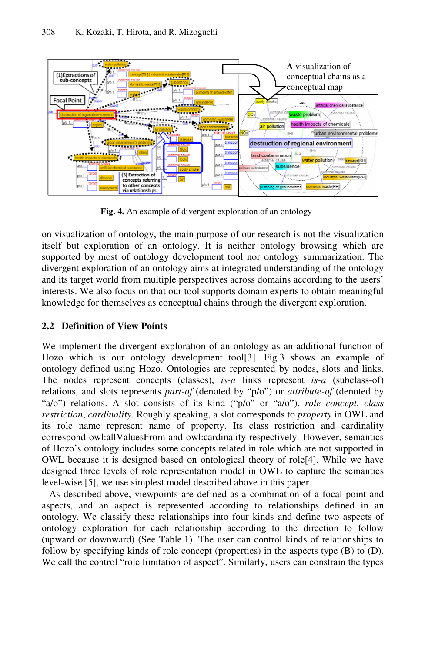

**Fig. 4.** An example of divergent exploration of an ontology

on visualization of ontology, the main purpose of our research is not the visualization itself but exploration of an ontology. It is neither ontology browsing which are supported by most of ontology development tool nor ontology summarization. The divergent exploration of an ontology aims at integrated understanding of the ontology and its target world from multiple perspectives across domains according to the users' interests. We also focus on that our tool supports domain experts to obtain meaningful knowledge for themselves as conceptual chains through the divergent exploration.

## **2.2 Definition of View Points**

We implement the divergent exploration of an ontology as an additional function of Hozo which is our ontology development tool[3]. Fig.3 shows an example of ontology defined using Hozo. Ontologies are represented by nodes, slots and links. The nodes represent concepts (classes), *is-a* links represent *is-a* (subclass-of) relations, and slots represents *part-of* (denoted by "p/o") or *attribute-of* (denoted by "a/o") relations. A slot consists of its kind ("p/o" or "a/o"), *role concept*, *class restriction*, *cardinality*. Roughly speaking, a slot corresponds to *property* in OWL and its role name represent name of property. Its class restriction and cardinality correspond owl:allValuesFrom and owl:cardinality respectively. However, semantics of Hozo's ontology includes some concepts related in role which are not supported in OWL because it is designed based on ontological theory of role[4]. While we have designed three levels of role representation model in OWL to capture the semantics level-wise [5], we use simplest model described above in this paper.

 As described above, viewpoints are defined as a combination of a focal point and aspects, and an aspect is represented according to relationships defined in an ontology. We classify these relationships into four kinds and define two aspects of ontology exploration for each relationship according to the direction to follow (upward or downward) (See Table.1). The user can control kinds of relationships to follow by specifying kinds of role concept (properties) in the aspects type (B) to (D). We call the control "role limitation of aspect". Similarly, users can constrain the types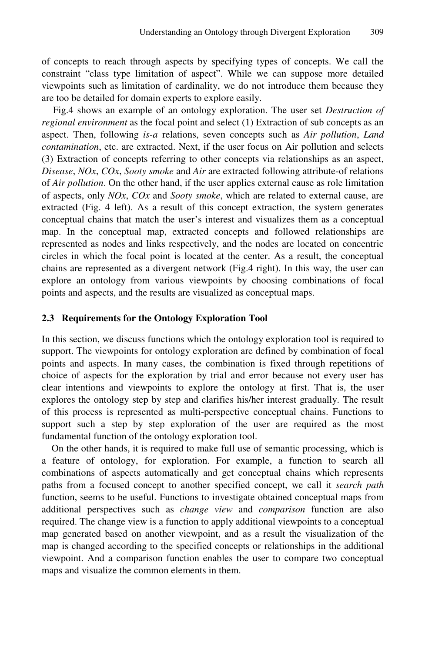of concepts to reach through aspects by specifying types of concepts. We call the constraint "class type limitation of aspect". While we can suppose more detailed viewpoints such as limitation of cardinality, we do not introduce them because they are too be detailed for domain experts to explore easily.

Fig.4 shows an example of an ontology exploration. The user set *Destruction of regional environment* as the focal point and select (1) Extraction of sub concepts as an aspect. Then, following *is-a* relations, seven concepts such as *Air pollution*, *Land contamination*, etc. are extracted. Next, if the user focus on Air pollution and selects (3) Extraction of concepts referring to other concepts via relationships as an aspect, *Disease*, *NOx*, *COx*, *Sooty smoke* and *Air* are extracted following attribute-of relations of *Air pollution*. On the other hand, if the user applies external cause as role limitation of aspects, only *NOx*, *COx* and *Sooty smoke*, which are related to external cause, are extracted (Fig. 4 left). As a result of this concept extraction, the system generates conceptual chains that match the user's interest and visualizes them as a conceptual map. In the conceptual map, extracted concepts and followed relationships are represented as nodes and links respectively, and the nodes are located on concentric circles in which the focal point is located at the center. As a result, the conceptual chains are represented as a divergent network (Fig.4 right). In this way, the user can explore an ontology from various viewpoints by choosing combinations of focal points and aspects, and the results are visualized as conceptual maps.

#### **2.3 Requirements for the Ontology Exploration Tool**

In this section, we discuss functions which the ontology exploration tool is required to support. The viewpoints for ontology exploration are defined by combination of focal points and aspects. In many cases, the combination is fixed through repetitions of choice of aspects for the exploration by trial and error because not every user has clear intentions and viewpoints to explore the ontology at first. That is, the user explores the ontology step by step and clarifies his/her interest gradually. The result of this process is represented as multi-perspective conceptual chains. Functions to support such a step by step exploration of the user are required as the most fundamental function of the ontology exploration tool.

On the other hands, it is required to make full use of semantic processing, which is a feature of ontology, for exploration. For example, a function to search all combinations of aspects automatically and get conceptual chains which represents paths from a focused concept to another specified concept, we call it *search path* function, seems to be useful. Functions to investigate obtained conceptual maps from additional perspectives such as *change view* and *comparison* function are also required. The change view is a function to apply additional viewpoints to a conceptual map generated based on another viewpoint, and as a result the visualization of the map is changed according to the specified concepts or relationships in the additional viewpoint. And a comparison function enables the user to compare two conceptual maps and visualize the common elements in them.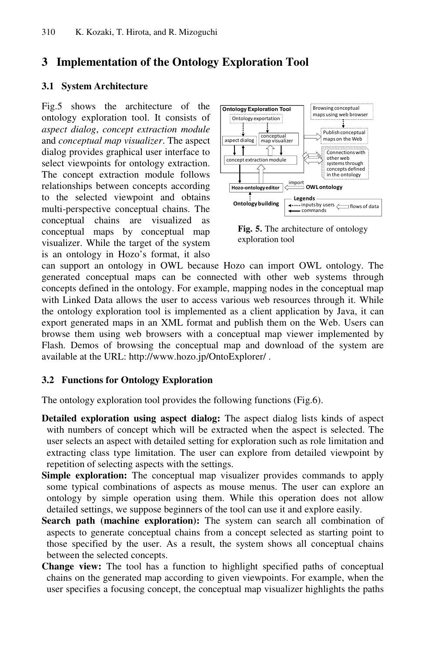# **3 Implementation of the Ontology Exploration Tool**

## **3.1 System Architecture**

Fig.5 shows the architecture of the ontology exploration tool. It consists of *aspect dialog*, *concept extraction module* and *conceptual map visualizer*. The aspect dialog provides graphical user interface to select viewpoints for ontology extraction. The concept extraction module follows relationships between concepts according to the selected viewpoint and obtains multi-perspective conceptual chains. The conceptual chains are visualized as conceptual maps by conceptual map visualizer. While the target of the system is an ontology in Hozo's format, it also



**Fig. 5.** The architecture of ontology exploration tool

can support an ontology in OWL because Hozo can import OWL ontology. The generated conceptual maps can be connected with other web systems through concepts defined in the ontology. For example, mapping nodes in the conceptual map with Linked Data allows the user to access various web resources through it. While the ontology exploration tool is implemented as a client application by Java, it can export generated maps in an XML format and publish them on the Web. Users can browse them using web browsers with a conceptual map viewer implemented by Flash. Demos of browsing the conceptual map and download of the system are available at the URL: http://www.hozo.jp/OntoExplorer/ .

## **3.2 Functions for Ontology Exploration**

The ontology exploration tool provides the following functions (Fig.6).

- **Detailed exploration using aspect dialog:** The aspect dialog lists kinds of aspect with numbers of concept which will be extracted when the aspect is selected. The user selects an aspect with detailed setting for exploration such as role limitation and extracting class type limitation. The user can explore from detailed viewpoint by repetition of selecting aspects with the settings.
- **Simple exploration:** The conceptual map visualizer provides commands to apply some typical combinations of aspects as mouse menus. The user can explore an ontology by simple operation using them. While this operation does not allow detailed settings, we suppose beginners of the tool can use it and explore easily.
- **Search path (machine exploration):** The system can search all combination of aspects to generate conceptual chains from a concept selected as starting point to those specified by the user. As a result, the system shows all conceptual chains between the selected concepts.
- **Change view:** The tool has a function to highlight specified paths of conceptual chains on the generated map according to given viewpoints. For example, when the user specifies a focusing concept, the conceptual map visualizer highlights the paths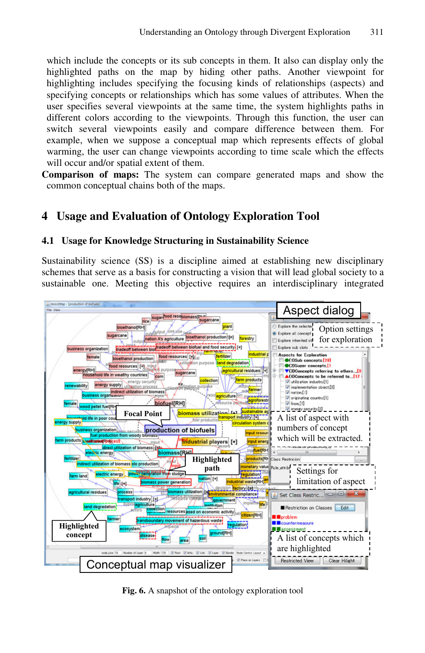which include the concepts or its sub concepts in them. It also can display only the highlighted paths on the map by hiding other paths. Another viewpoint for highlighting includes specifying the focusing kinds of relationships (aspects) and specifying concepts or relationships which has some values of attributes. When the user specifies several viewpoints at the same time, the system highlights paths in different colors according to the viewpoints. Through this function, the user can switch several viewpoints easily and compare difference between them. For example, when we suppose a conceptual map which represents effects of global warming, the user can change viewpoints according to time scale which the effects will occur and/or spatial extent of them.

**Comparison of maps:** The system can compare generated maps and show the common conceptual chains both of the maps.

# **4 Usage and Evaluation of Ontology Exploration Tool**

### **4.1 Usage for Knowledge Structuring in Sustainability Science**

Sustainability science (SS) is a discipline aimed at establishing new disciplinary schemes that serve as a basis for constructing a vision that will lead global society to a sustainable one. Meeting this objective requires an interdisciplinary integrated



**Fig. 6.** A snapshot of the ontology exploration tool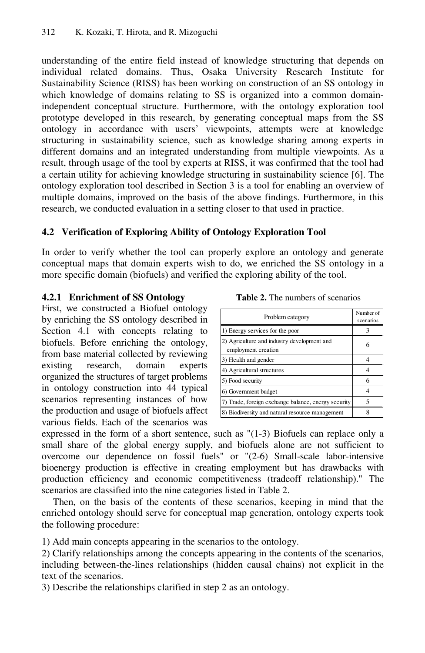understanding of the entire field instead of knowledge structuring that depends on individual related domains. Thus, Osaka University Research Institute for Sustainability Science (RISS) has been working on construction of an SS ontology in which knowledge of domains relating to SS is organized into a common domainindependent conceptual structure. Furthermore, with the ontology exploration tool prototype developed in this research, by generating conceptual maps from the SS ontology in accordance with users' viewpoints, attempts were at knowledge structuring in sustainability science, such as knowledge sharing among experts in different domains and an integrated understanding from multiple viewpoints. As a result, through usage of the tool by experts at RISS, it was confirmed that the tool had a certain utility for achieving knowledge structuring in sustainability science [6]. The ontology exploration tool described in Section 3 is a tool for enabling an overview of multiple domains, improved on the basis of the above findings. Furthermore, in this research, we conducted evaluation in a setting closer to that used in practice.

## **4.2 Verification of Exploring Ability of Ontology Exploration Tool**

In order to verify whether the tool can properly explore an ontology and generate conceptual maps that domain experts wish to do, we enriched the SS ontology in a more specific domain (biofuels) and verified the exploring ability of the tool.

#### **4.2.1 Enrichment of SS Ontology**

First, we constructed a Biofuel ontology by enriching the SS ontology described in Section 4.1 with concepts relating to biofuels. Before enriching the ontology, from base material collected by reviewing existing research, domain experts organized the structures of target problems in ontology construction into 44 typical scenarios representing instances of how the production and usage of biofuels affect various fields. Each of the scenarios was

| Problem category                                                   | Number of<br>scenarios |
|--------------------------------------------------------------------|------------------------|
| 1) Energy services for the poor                                    |                        |
| 2) Agriculture and industry development and<br>employment creation |                        |
| 3) Health and gender                                               |                        |
| 4) Agricultural structures                                         |                        |
| 5) Food security                                                   |                        |
| 6) Government budget                                               |                        |
| 7) Trade, foreign exchange balance, energy security                |                        |
| 8) Biodiversity and natural resource management                    |                        |

expressed in the form of a short sentence, such as "(1-3) Biofuels can replace only a small share of the global energy supply, and biofuels alone are not sufficient to overcome our dependence on fossil fuels" or "(2-6) Small-scale labor-intensive bioenergy production is effective in creating employment but has drawbacks with production efficiency and economic competitiveness (tradeoff relationship)." The scenarios are classified into the nine categories listed in Table 2.

Then, on the basis of the contents of these scenarios, keeping in mind that the enriched ontology should serve for conceptual map generation, ontology experts took the following procedure:

1) Add main concepts appearing in the scenarios to the ontology.

2) Clarify relationships among the concepts appearing in the contents of the scenarios, including between-the-lines relationships (hidden causal chains) not explicit in the text of the scenarios.

3) Describe the relationships clarified in step 2 as an ontology.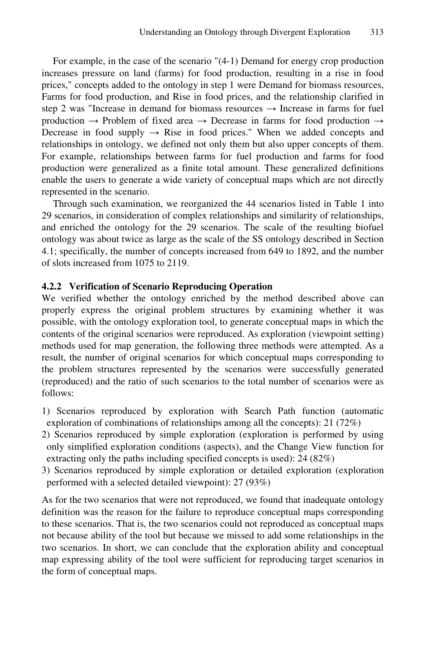For example, in the case of the scenario "(4-1) Demand for energy crop production increases pressure on land (farms) for food production, resulting in a rise in food prices," concepts added to the ontology in step 1 were Demand for biomass resources, Farms for food production, and Rise in food prices, and the relationship clarified in step 2 was "Increase in demand for biomass resources → Increase in farms for fuel production  $\rightarrow$  Problem of fixed area  $\rightarrow$  Decrease in farms for food production  $\rightarrow$ Decrease in food supply  $\rightarrow$  Rise in food prices." When we added concepts and relationships in ontology, we defined not only them but also upper concepts of them. For example, relationships between farms for fuel production and farms for food production were generalized as a finite total amount. These generalized definitions enable the users to generate a wide variety of conceptual maps which are not directly represented in the scenario.

Through such examination, we reorganized the 44 scenarios listed in Table 1 into 29 scenarios, in consideration of complex relationships and similarity of relationships, and enriched the ontology for the 29 scenarios. The scale of the resulting biofuel ontology was about twice as large as the scale of the SS ontology described in Section 4.1; specifically, the number of concepts increased from 649 to 1892, and the number of slots increased from 1075 to 2119.

#### **4.2.2 Verification of Scenario Reproducing Operation**

We verified whether the ontology enriched by the method described above can properly express the original problem structures by examining whether it was possible, with the ontology exploration tool, to generate conceptual maps in which the contents of the original scenarios were reproduced. As exploration (viewpoint setting) methods used for map generation, the following three methods were attempted. As a result, the number of original scenarios for which conceptual maps corresponding to the problem structures represented by the scenarios were successfully generated (reproduced) and the ratio of such scenarios to the total number of scenarios were as follows:

- 1) Scenarios reproduced by exploration with Search Path function (automatic exploration of combinations of relationships among all the concepts): 21 (72%)
- 2) Scenarios reproduced by simple exploration (exploration is performed by using only simplified exploration conditions (aspects), and the Change View function for extracting only the paths including specified concepts is used): 24 (82%)
- 3) Scenarios reproduced by simple exploration or detailed exploration (exploration performed with a selected detailed viewpoint): 27 (93%)

As for the two scenarios that were not reproduced, we found that inadequate ontology definition was the reason for the failure to reproduce conceptual maps corresponding to these scenarios. That is, the two scenarios could not reproduced as conceptual maps not because ability of the tool but because we missed to add some relationships in the two scenarios. In short, we can conclude that the exploration ability and conceptual map expressing ability of the tool were sufficient for reproducing target scenarios in the form of conceptual maps.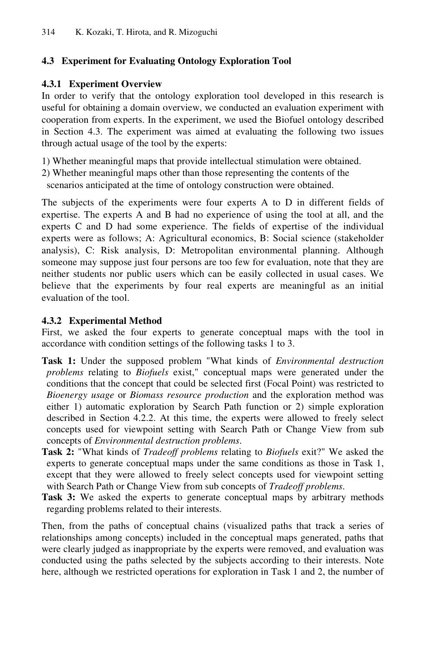### **4.3 Experiment for Evaluating Ontology Exploration Tool**

#### **4.3.1 Experiment Overview**

In order to verify that the ontology exploration tool developed in this research is useful for obtaining a domain overview, we conducted an evaluation experiment with cooperation from experts. In the experiment, we used the Biofuel ontology described in Section 4.3. The experiment was aimed at evaluating the following two issues through actual usage of the tool by the experts:

- 1) Whether meaningful maps that provide intellectual stimulation were obtained.
- 2) Whether meaningful maps other than those representing the contents of the
- scenarios anticipated at the time of ontology construction were obtained.

The subjects of the experiments were four experts A to D in different fields of expertise. The experts A and B had no experience of using the tool at all, and the experts C and D had some experience. The fields of expertise of the individual experts were as follows; A: Agricultural economics, B: Social science (stakeholder analysis), C: Risk analysis, D: Metropolitan environmental planning. Although someone may suppose just four persons are too few for evaluation, note that they are neither students nor public users which can be easily collected in usual cases. We believe that the experiments by four real experts are meaningful as an initial evaluation of the tool.

#### **4.3.2 Experimental Method**

First, we asked the four experts to generate conceptual maps with the tool in accordance with condition settings of the following tasks 1 to 3.

- **Task 1:** Under the supposed problem "What kinds of *Environmental destruction problems* relating to *Biofuels* exist," conceptual maps were generated under the conditions that the concept that could be selected first (Focal Point) was restricted to *Bioenergy usage* or *Biomass resource production* and the exploration method was either 1) automatic exploration by Search Path function or 2) simple exploration described in Section 4.2.2. At this time, the experts were allowed to freely select concepts used for viewpoint setting with Search Path or Change View from sub concepts of *Environmental destruction problems*.
- **Task 2:** "What kinds of *Tradeoff problems* relating to *Biofuels* exit?" We asked the experts to generate conceptual maps under the same conditions as those in Task 1, except that they were allowed to freely select concepts used for viewpoint setting with Search Path or Change View from sub concepts of *Tradeoff problems*.
- **Task 3:** We asked the experts to generate conceptual maps by arbitrary methods regarding problems related to their interests.

Then, from the paths of conceptual chains (visualized paths that track a series of relationships among concepts) included in the conceptual maps generated, paths that were clearly judged as inappropriate by the experts were removed, and evaluation was conducted using the paths selected by the subjects according to their interests. Note here, although we restricted operations for exploration in Task 1 and 2, the number of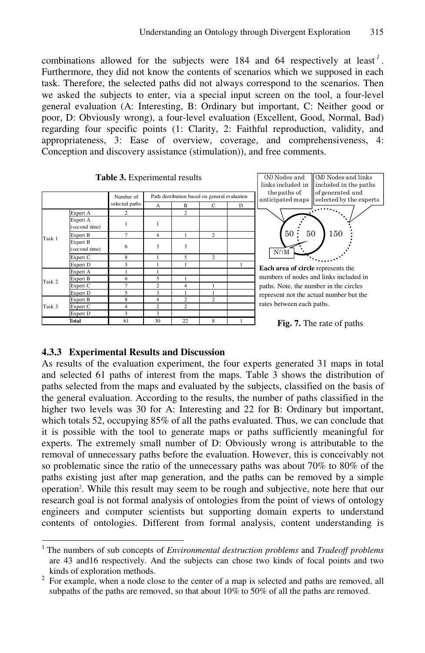combinations allowed for the subjects were 184 and 64 respectively at least *<sup>1</sup>* . Furthermore, they did not know the contents of scenarios which we supposed in each task. Therefore, the selected paths did not always correspond to the scenarios. Then we asked the subjects to enter, via a special input screen on the tool, a four-level general evaluation (A: Interesting, B: Ordinary but important, C: Neither good or poor, D: Obviously wrong), a four-level evaluation (Excellent, Good, Normal, Bad) regarding four specific points (1: Clarity, 2: Faithful reproduction, validity, and appropriateness, 3: Ease of overview, coverage, and comprehensiveness, 4: Conception and discovery assistance (stimulation)), and free comments.



#### **4.3.3 Experimental Results and Discussion**

l

As results of the evaluation experiment, the four experts generated 31 maps in total and selected 61 paths of interest from the maps. Table 3 shows the distribution of paths selected from the maps and evaluated by the subjects, classified on the basis of the general evaluation. According to the results, the number of paths classified in the higher two levels was 30 for A: Interesting and 22 for B: Ordinary but important, which totals 52, occupying 85% of all the paths evaluated. Thus, we can conclude that it is possible with the tool to generate maps or paths sufficiently meaningful for experts. The extremely small number of D: Obviously wrong is attributable to the removal of unnecessary paths before the evaluation. However, this is conceivably not so problematic since the ratio of the unnecessary paths was about 70% to 80% of the paths existing just after map generation, and the paths can be removed by a simple operation<sup>2</sup>. While this result may seem to be rough and subjective, note here that our research goal is not formal analysis of ontologies from the point of views of ontology engineers and computer scientists but supporting domain experts to understand contents of ontologies. Different from formal analysis, content understanding is

<sup>1</sup> The numbers of sub concepts of *Environmental destruction problems* and *Tradeoff problems* are 43 and16 respectively. And the subjects can chose two kinds of focal points and two kinds of exploration methods.

 $2$  For example, when a node close to the center of a map is selected and paths are removed, all subpaths of the paths are removed, so that about 10% to 50% of all the paths are removed.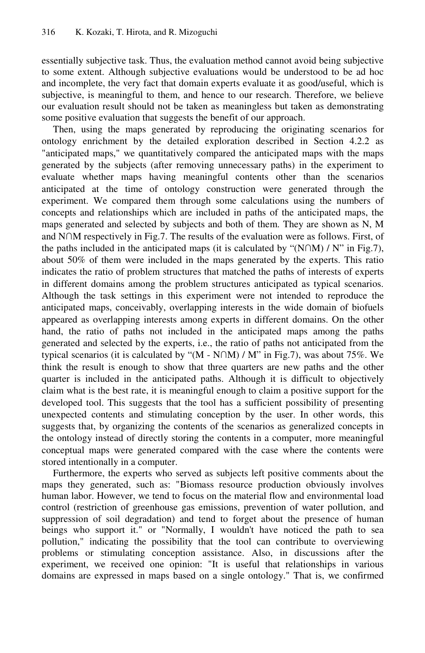essentially subjective task. Thus, the evaluation method cannot avoid being subjective to some extent. Although subjective evaluations would be understood to be ad hoc and incomplete, the very fact that domain experts evaluate it as good/useful, which is subjective, is meaningful to them, and hence to our research. Therefore, we believe our evaluation result should not be taken as meaningless but taken as demonstrating some positive evaluation that suggests the benefit of our approach.

Then, using the maps generated by reproducing the originating scenarios for ontology enrichment by the detailed exploration described in Section 4.2.2 as "anticipated maps," we quantitatively compared the anticipated maps with the maps generated by the subjects (after removing unnecessary paths) in the experiment to evaluate whether maps having meaningful contents other than the scenarios anticipated at the time of ontology construction were generated through the experiment. We compared them through some calculations using the numbers of concepts and relationships which are included in paths of the anticipated maps, the maps generated and selected by subjects and both of them. They are shown as N, M and N∩M respectively in Fig.7. The results of the evaluation were as follows. First, of the paths included in the anticipated maps (it is calculated by "(N∩M) / N" in Fig.7), about 50% of them were included in the maps generated by the experts. This ratio indicates the ratio of problem structures that matched the paths of interests of experts in different domains among the problem structures anticipated as typical scenarios. Although the task settings in this experiment were not intended to reproduce the anticipated maps, conceivably, overlapping interests in the wide domain of biofuels appeared as overlapping interests among experts in different domains. On the other hand, the ratio of paths not included in the anticipated maps among the paths generated and selected by the experts, i.e., the ratio of paths not anticipated from the typical scenarios (it is calculated by "(M - N∩M) / M" in Fig.7), was about 75%. We think the result is enough to show that three quarters are new paths and the other quarter is included in the anticipated paths. Although it is difficult to objectively claim what is the best rate, it is meaningful enough to claim a positive support for the developed tool. This suggests that the tool has a sufficient possibility of presenting unexpected contents and stimulating conception by the user. In other words, this suggests that, by organizing the contents of the scenarios as generalized concepts in the ontology instead of directly storing the contents in a computer, more meaningful conceptual maps were generated compared with the case where the contents were stored intentionally in a computer.

Furthermore, the experts who served as subjects left positive comments about the maps they generated, such as: "Biomass resource production obviously involves human labor. However, we tend to focus on the material flow and environmental load control (restriction of greenhouse gas emissions, prevention of water pollution, and suppression of soil degradation) and tend to forget about the presence of human beings who support it." or "Normally, I wouldn't have noticed the path to sea pollution," indicating the possibility that the tool can contribute to overviewing problems or stimulating conception assistance. Also, in discussions after the experiment, we received one opinion: "It is useful that relationships in various domains are expressed in maps based on a single ontology." That is, we confirmed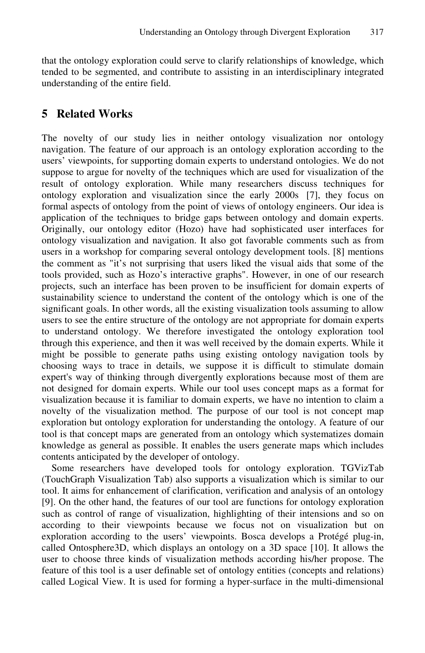that the ontology exploration could serve to clarify relationships of knowledge, which tended to be segmented, and contribute to assisting in an interdisciplinary integrated understanding of the entire field.

## **5 Related Works**

The novelty of our study lies in neither ontology visualization nor ontology navigation. The feature of our approach is an ontology exploration according to the users' viewpoints, for supporting domain experts to understand ontologies. We do not suppose to argue for novelty of the techniques which are used for visualization of the result of ontology exploration. While many researchers discuss techniques for ontology exploration and visualization since the early 2000s [7], they focus on formal aspects of ontology from the point of views of ontology engineers. Our idea is application of the techniques to bridge gaps between ontology and domain experts. Originally, our ontology editor (Hozo) have had sophisticated user interfaces for ontology visualization and navigation. It also got favorable comments such as from users in a workshop for comparing several ontology development tools. [8] mentions the comment as "it's not surprising that users liked the visual aids that some of the tools provided, such as Hozo's interactive graphs". However, in one of our research projects, such an interface has been proven to be insufficient for domain experts of sustainability science to understand the content of the ontology which is one of the significant goals. In other words, all the existing visualization tools assuming to allow users to see the entire structure of the ontology are not appropriate for domain experts to understand ontology. We therefore investigated the ontology exploration tool through this experience, and then it was well received by the domain experts. While it might be possible to generate paths using existing ontology navigation tools by choosing ways to trace in details, we suppose it is difficult to stimulate domain expert's way of thinking through divergently explorations because most of them are not designed for domain experts. While our tool uses concept maps as a format for visualization because it is familiar to domain experts, we have no intention to claim a novelty of the visualization method. The purpose of our tool is not concept map exploration but ontology exploration for understanding the ontology. A feature of our tool is that concept maps are generated from an ontology which systematizes domain knowledge as general as possible. It enables the users generate maps which includes contents anticipated by the developer of ontology.

Some researchers have developed tools for ontology exploration. TGVizTab (TouchGraph Visualization Tab) also supports a visualization which is similar to our tool. It aims for enhancement of clarification, verification and analysis of an ontology [9]. On the other hand, the features of our tool are functions for ontology exploration such as control of range of visualization, highlighting of their intensions and so on according to their viewpoints because we focus not on visualization but on exploration according to the users' viewpoints. Bosca develops a Protégé plug-in, called Ontosphere3D, which displays an ontology on a 3D space [10]. It allows the user to choose three kinds of visualization methods according his/her propose. The feature of this tool is a user definable set of ontology entities (concepts and relations) called Logical View. It is used for forming a hyper-surface in the multi-dimensional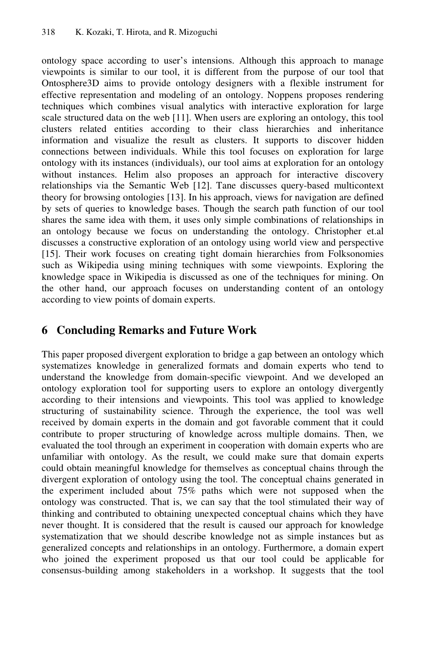ontology space according to user's intensions. Although this approach to manage viewpoints is similar to our tool, it is different from the purpose of our tool that Ontosphere3D aims to provide ontology designers with a flexible instrument for effective representation and modeling of an ontology. Noppens proposes rendering techniques which combines visual analytics with interactive exploration for large scale structured data on the web [11]. When users are exploring an ontology, this tool clusters related entities according to their class hierarchies and inheritance information and visualize the result as clusters. It supports to discover hidden connections between individuals. While this tool focuses on exploration for large ontology with its instances (individuals), our tool aims at exploration for an ontology without instances. Helim also proposes an approach for interactive discovery relationships via the Semantic Web [12]. Tane discusses query-based multicontext theory for browsing ontologies [13]. In his approach, views for navigation are defined by sets of queries to knowledge bases. Though the search path function of our tool shares the same idea with them, it uses only simple combinations of relationships in an ontology because we focus on understanding the ontology. Christopher et.al discusses a constructive exploration of an ontology using world view and perspective [15]. Their work focuses on creating tight domain hierarchies from Folksonomies such as Wikipedia using mining techniques with some viewpoints. Exploring the knowledge space in Wikipedia is discussed as one of the techniques for mining. On the other hand, our approach focuses on understanding content of an ontology according to view points of domain experts.

# **6 Concluding Remarks and Future Work**

This paper proposed divergent exploration to bridge a gap between an ontology which systematizes knowledge in generalized formats and domain experts who tend to understand the knowledge from domain-specific viewpoint. And we developed an ontology exploration tool for supporting users to explore an ontology divergently according to their intensions and viewpoints. This tool was applied to knowledge structuring of sustainability science. Through the experience, the tool was well received by domain experts in the domain and got favorable comment that it could contribute to proper structuring of knowledge across multiple domains. Then, we evaluated the tool through an experiment in cooperation with domain experts who are unfamiliar with ontology. As the result, we could make sure that domain experts could obtain meaningful knowledge for themselves as conceptual chains through the divergent exploration of ontology using the tool. The conceptual chains generated in the experiment included about 75% paths which were not supposed when the ontology was constructed. That is, we can say that the tool stimulated their way of thinking and contributed to obtaining unexpected conceptual chains which they have never thought. It is considered that the result is caused our approach for knowledge systematization that we should describe knowledge not as simple instances but as generalized concepts and relationships in an ontology. Furthermore, a domain expert who joined the experiment proposed us that our tool could be applicable for consensus-building among stakeholders in a workshop. It suggests that the tool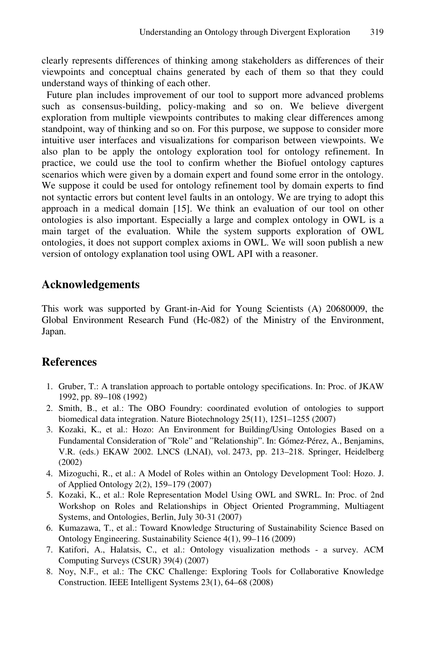clearly represents differences of thinking among stakeholders as differences of their viewpoints and conceptual chains generated by each of them so that they could understand ways of thinking of each other.

 Future plan includes improvement of our tool to support more advanced problems such as consensus-building, policy-making and so on. We believe divergent exploration from multiple viewpoints contributes to making clear differences among standpoint, way of thinking and so on. For this purpose, we suppose to consider more intuitive user interfaces and visualizations for comparison between viewpoints. We also plan to be apply the ontology exploration tool for ontology refinement. In practice, we could use the tool to confirm whether the Biofuel ontology captures scenarios which were given by a domain expert and found some error in the ontology. We suppose it could be used for ontology refinement tool by domain experts to find not syntactic errors but content level faults in an ontology. We are trying to adopt this approach in a medical domain [15]. We think an evaluation of our tool on other ontologies is also important. Especially a large and complex ontology in OWL is a main target of the evaluation. While the system supports exploration of OWL ontologies, it does not support complex axioms in OWL. We will soon publish a new version of ontology explanation tool using OWL API with a reasoner.

## **Acknowledgements**

This work was supported by Grant-in-Aid for Young Scientists (A) 20680009, the Global Environment Research Fund (Hc-082) of the Ministry of the Environment, Japan.

## **References**

- 1. Gruber, T.: A translation approach to portable ontology specifications. In: Proc. of JKAW 1992, pp. 89–108 (1992)
- 2. Smith, B., et al.: The OBO Foundry: coordinated evolution of ontologies to support biomedical data integration. Nature Biotechnology 25(11), 1251–1255 (2007)
- 3. Kozaki, K., et al.: Hozo: An Environment for Building/Using Ontologies Based on a Fundamental Consideration of "Role" and "Relationship". In: Gómez-Pérez, A., Benjamins, V.R. (eds.) EKAW 2002. LNCS (LNAI), vol. 2473, pp. 213–218. Springer, Heidelberg (2002)
- 4. Mizoguchi, R., et al.: A Model of Roles within an Ontology Development Tool: Hozo. J. of Applied Ontology 2(2), 159–179 (2007)
- 5. Kozaki, K., et al.: Role Representation Model Using OWL and SWRL. In: Proc. of 2nd Workshop on Roles and Relationships in Object Oriented Programming, Multiagent Systems, and Ontologies, Berlin, July 30-31 (2007)
- 6. Kumazawa, T., et al.: Toward Knowledge Structuring of Sustainability Science Based on Ontology Engineering. Sustainability Science 4(1), 99–116 (2009)
- 7. Katifori, A., Halatsis, C., et al.: Ontology visualization methods a survey. ACM Computing Surveys (CSUR) 39(4) (2007)
- 8. Noy, N.F., et al.: The CKC Challenge: Exploring Tools for Collaborative Knowledge Construction. IEEE Intelligent Systems 23(1), 64–68 (2008)